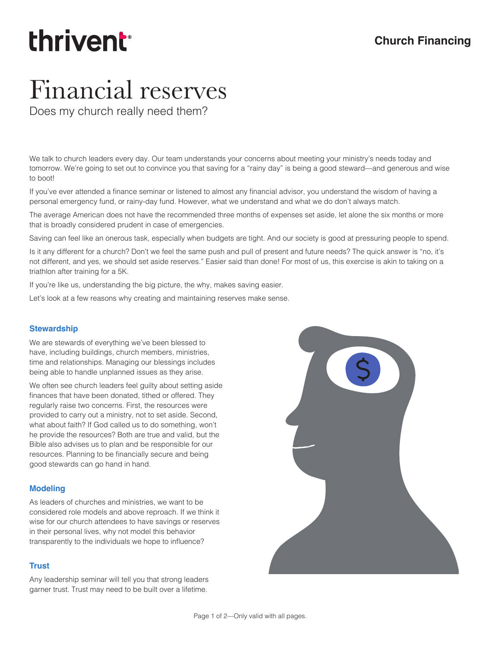# thrivent

### Financial reserves

Does my church really need them?

We talk to church leaders every day. Our team understands your concerns about meeting your ministry's needs today and tomorrow. We're going to set out to convince you that saving for a "rainy day" is being a good steward—and generous and wise to boot!

If you've ever attended a finance seminar or listened to almost any financial advisor, you understand the wisdom of having a personal emergency fund, or rainy-day fund. However, what we understand and what we do don't always match.

The average American does not have the recommended three months of expenses set aside, let alone the six months or more that is broadly considered prudent in case of emergencies.

Saving can feel like an onerous task, especially when budgets are tight. And our society is good at pressuring people to spend.

Is it any different for a church? Don't we feel the same push and pull of present and future needs? The quick answer is "no, it's not different, and yes, we should set aside reserves." Easier said than done! For most of us, this exercise is akin to taking on a triathlon after training for a 5K.

If you're like us, understanding the big picture, the why, makes saving easier.

Let's look at a few reasons why creating and maintaining reserves make sense.

#### **Stewardship**

We are stewards of everything we've been blessed to have, including buildings, church members, ministries, time and relationships. Managing our blessings includes being able to handle unplanned issues as they arise.

We often see church leaders feel guilty about setting aside finances that have been donated, tithed or offered. They regularly raise two concerns. First, the resources were provided to carry out a ministry, not to set aside. Second, what about faith? If God called us to do something, won't he provide the resources? Both are true and valid, but the Bible also advises us to plan and be responsible for our resources. Planning to be financially secure and being good stewards can go hand in hand.

#### **Modeling**

As leaders of churches and ministries, we want to be considered role models and above reproach. If we think it wise for our church attendees to have savings or reserves in their personal lives, why not model this behavior transparently to the individuals we hope to influence?

#### **Trust**

Any leadership seminar will tell you that strong leaders garner trust. Trust may need to be built over a lifetime.